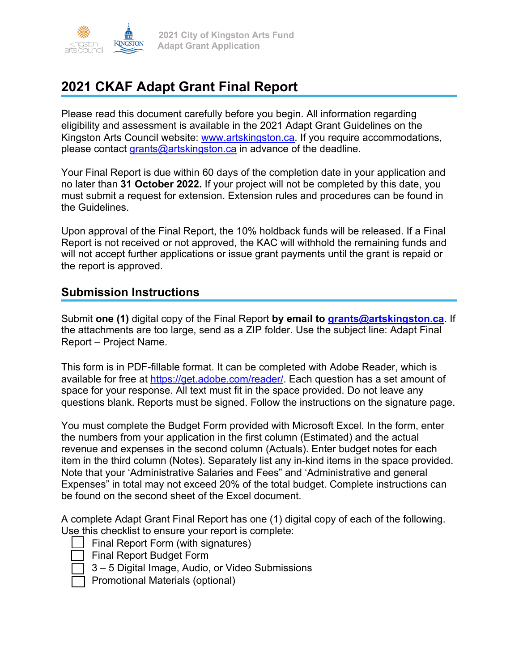

# **2021 CKAF Adapt Grant Final Report**

Please read this document carefully before you begin. All information regarding eligibility and assessment is available in the 2021 Adapt Grant Guidelines on the Kingston Arts Council website: www.artskingston.ca. If you require accommodations, please contact grants@artskingston.ca in advance of the deadline.

Your Final Report is due within 60 days of the completion date in your application and no later than **31 October 2022.** If your project will not be completed by this date, you must submit a request for extension. Extension rules and procedures can be found in the Guidelines.

Upon approval of the Final Report, the 10% holdback funds will be released. If a Final Report is not received or not approved, the KAC will withhold the remaining funds and will not accept further applications or issue grant payments until the grant is repaid or the report is approved.

#### **Submission Instructions**

Submit **one (1)** digital copy of the Final Report **by email to grants@artskingston.ca**. If the attachments are too large, send as a ZIP folder. Use the subject line: Adapt Final Report – Project Name.

This form is in PDF-fillable format. It can be completed with Adobe Reader, which is available for free at https://get.adobe.com/reader/. Each question has a set amount of space for your response. All text must fit in the space provided. Do not leave any questions blank. Reports must be signed. Follow the instructions on the signature page.

You must complete the Budget Form provided with Microsoft Excel. In the form, enter the numbers from your application in the first column (Estimated) and the actual revenue and expenses in the second column (Actuals). Enter budget notes for each item in the third column (Notes). Separately list any in-kind items in the space provided. Note that your 'Administrative Salaries and Fees" and 'Administrative and general Expenses" in total may not exceed 20% of the total budget. Complete instructions can be found on the second sheet of the Excel document.

A complete Adapt Grant Final Report has one (1) digital copy of each of the following. Use this checklist to ensure your report is complete:

• Final Report Form (with signatures) • Final Report Budget Form

- 3 5 Digital Image, Audio, or Video Submissions
- Promotional Materials (optional)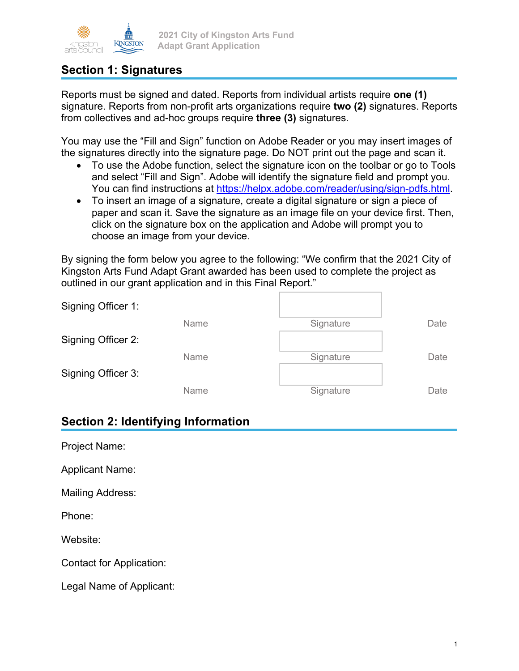

### **Section 1: Signatures**

Reports must be signed and dated. Reports from individual artists require **one (1)** signature. Reports from non-profit arts organizations require **two (2)** signatures. Reports from collectives and ad-hoc groups require **three (3)** signatures.

You may use the "Fill and Sign" function on Adobe Reader or you may insert images of the signatures directly into the signature page. Do NOT print out the page and scan it.

- To use the Adobe function, select the signature icon on the toolbar or go to Tools and select "Fill and Sign". Adobe will identify the signature field and prompt you. You can find instructions at https://helpx.adobe.com/reader/using/sign-pdfs.html.
- To insert an image of a signature, create a digital signature or sign a piece of paper and scan it. Save the signature as an image file on your device first. Then, click on the signature box on the application and Adobe will prompt you to choose an image from your device.

By signing the form below you agree to the following: "We confirm that the 2021 City of Kingston Arts Fund Adapt Grant awarded has been used to complete the project as outlined in our grant application and in this Final Report."

| Signing Officer 1: |      |           |      |
|--------------------|------|-----------|------|
|                    | Name | Signature | Date |
| Signing Officer 2: |      |           |      |
|                    | Name | Signature | Date |
| Signing Officer 3: |      |           |      |
|                    | Name | Signature | Date |

#### **Section 2: Identifying Information**

| Project Name:            |
|--------------------------|
| <b>Applicant Name:</b>   |
| Mailing Address:         |
| Phone:                   |
| Website:                 |
| Contact for Application: |
| Legal Name of Applicant: |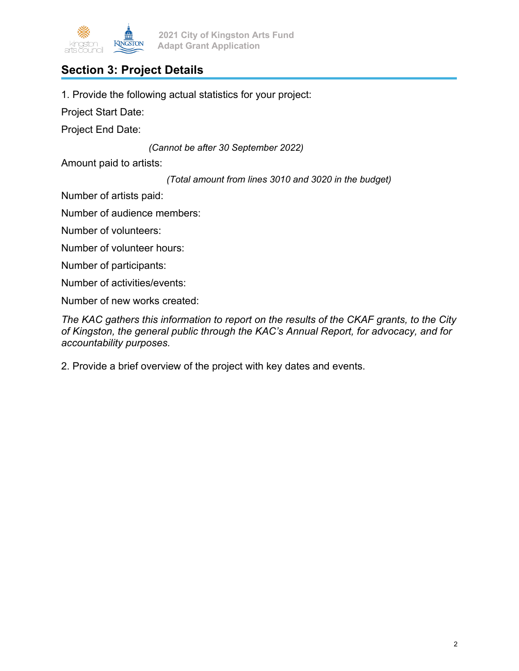

# **Section 3: Project Details**

1. Provide the following actual statistics for your project:

Project Start Date:

Project End Date:

*(Cannot be after 30 September 2022)* 

Amount paid to artists:

*(Total amount from lines 3010 and 3020 in the budget)* 

Number of artists paid:

Number of audience members:

Number of volunteers:

Number of volunteer hours:

Number of participants:

Number of activities/events:

Number of new works created:

*The KAC gathers this information to report on the results of the CKAF grants, to the City of Kingston, the general public through the KAC's Annual Report, for advocacy, and for accountability purposes.* 

2. Provide a brief overview of the project with key dates and events.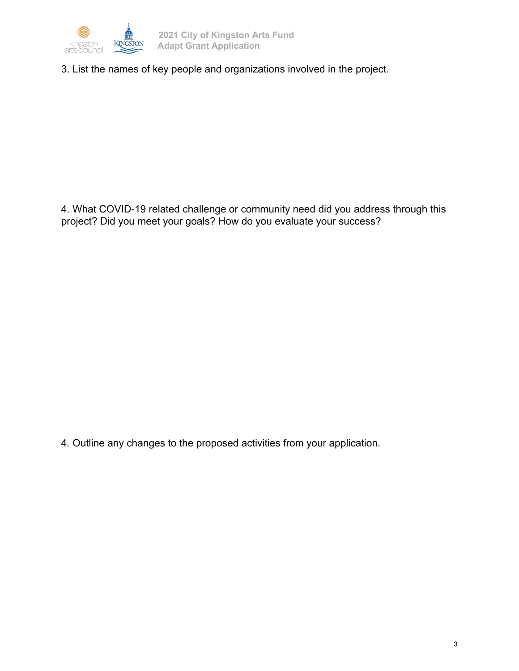

3. List the names of key people and organizations involved in the project.

4. What COVID-19 related challenge or community need did you address through this project? Did you meet your goals? How do you evaluate your success?

4. Outline any changes to the proposed activities from your application.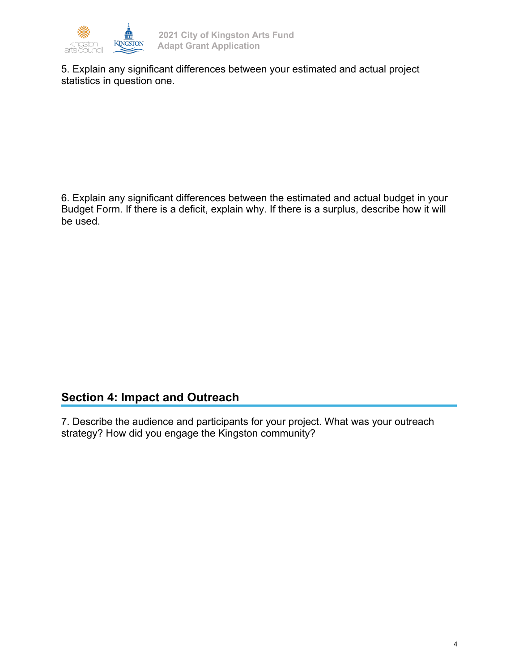

5. Explain any significant differences between your estimated and actual project statistics in question one.

6. Explain any significant differences between the estimated and actual budget in your Budget Form. If there is a deficit, explain why. If there is a surplus, describe how it will be used.

## **Section 4: Impact and Outreach**

7. Describe the audience and participants for your project. What was your outreach strategy? How did you engage the Kingston community?